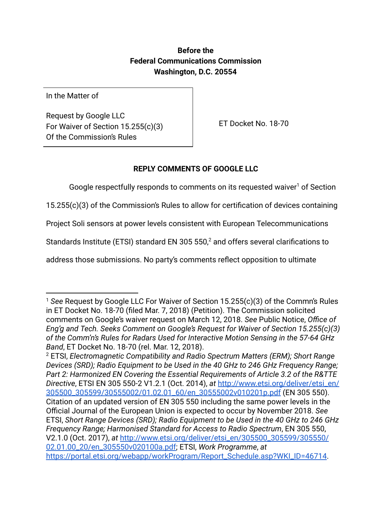## **Before the Federal Communications Commission Washington, D.C. 20554**

In the Matter of

Request by Google LLC For Waiver of Section 15.255(c)(3) Of the Commission's Rules

ET Docket No. 18-70

# **REPLY COMMENTS OF GOOGLE LLC**

Google respectfully responds to comments on its requested waiver<sup>1</sup> of Section

15.255(c)(3) of the Commission's Rules to allow for certification of devices containing

Project Soli sensors at power levels consistent with European Telecommunications

Standards Institute (ETSI) standard EN 305 550, $^2$  and offers several clarifications to

address those submissions. No party's comments reflect opposition to ultimate

<sup>1</sup> *See* Request by Google LLC For Waiver of Section 15.255(c)(3) of the Commn's Rules in ET Docket No. 18-70 (filed Mar. 7, 2018) (Petition). The Commission solicited comments on Google's waiver request on March 12, 2018. *See* Public Notice, *Office of Eng'g and Tech. Seeks Comment on Google's Request for Waiver of Section 15.255(c)(3) of the Comm'n's Rules for Radars Used for Interactive Motion Sensing in the 57-64 GHz Band* , ET Docket No. 18-70 (rel. Mar. 12, 2018).

<sup>2</sup> ETSI, *Electromagnetic Compatibility and Radio Spectrum Matters (ERM); Short Range Devices (SRD); Radio Equipment to be Used in the 40 GHz to 246 GHz Frequency Range; Part 2: Harmonized EN Covering the Essential Requirements of Article 3.2 of the R&TTE Directive* , ETSI EN 305 550-2 V1.2.1 (Oct. 2014), *at* [http://www.etsi.org/deliver/etsi\\_en/](http://www.etsi.org/deliver/etsi_en/305500_305599/30555002/01.02.01_60/en_30555002v010201p.pdf) [305500\\_305599/30555002/01.02.01\\_60/en\\_30555002v010201p.pdf](http://www.etsi.org/deliver/etsi_en/305500_305599/30555002/01.02.01_60/en_30555002v010201p.pdf)(EN 305 550). Citation of an updated version of EN 305 550 including the same power levels in the Official Journal of the European Union is expected to occur by November 2018. *See* ETSI, *Short Range Devices (SRD); Radio Equipment to be Used in the 40 GHz to 246 GHz Frequency Range; Harmonised Standard for Access to Radio Spectrum* , EN 305 550, V2.1.0 (Oct. 2017), *at* [http://www.etsi.org/deliver/etsi\\_en/305500\\_305599/305550/](http://www.etsi.org/deliver/etsi_en/305500_305599/305550/02.01.00_20/en_305550v020100a.pdf) [02.01.00\\_20/en\\_305550v020100a.pdf ;](http://www.etsi.org/deliver/etsi_en/305500_305599/305550/02.01.00_20/en_305550v020100a.pdf) ETSI, *Work Programme* , *at* https://portal.etsi.org/webapp/workProgram/Report\_Schedule.asp?WKI\_ID=46714.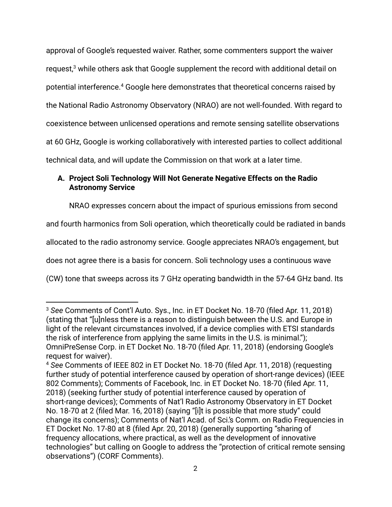approval of Google's requested waiver. Rather, some commenters support the waiver request, $3$  while others ask that Google supplement the record with additional detail on potential interference. $^4$  Google here demonstrates that theoretical concerns raised by the National Radio Astronomy Observatory (NRAO) are not well-founded. With regard to coexistence between unlicensed operations and remote sensing satellite observations at 60 GHz, Google is working collaboratively with interested parties to collect additional technical data, and will update the Commission on that work at a later time.

## **A. Project Soli Technology Will Not Generate Negative Effects on the Radio Astronomy Service**

NRAO expresses concern about the impact of spurious emissions from second

and fourth harmonics from Soli operation, which theoretically could be radiated in bands

allocated to the radio astronomy service. Google appreciates NRAO's engagement, but

does not agree there is a basis for concern. Soli technology uses a continuous wave

(CW) tone that sweeps across its 7 GHz operating bandwidth in the 57-64 GHz band. Its

<sup>3</sup> *See* Comments of Cont'l Auto. Sys., Inc. in ET Docket No. 18-70 (filed Apr. 11, 2018) (stating that "[u]nless there is a reason to distinguish between the U.S. and Europe in light of the relevant circumstances involved, if a device complies with ETSI standards the risk of interference from applying the same limits in the U.S. is minimal."); OmniPreSense Corp.in ET Docket No. 18-70 (filed Apr. 11, 2018) (endorsing Google's request for waiver).

<sup>4</sup> *See* Comments of IEEE 802 in ET Docket No. 18-70 (filed Apr. 11, 2018) (requesting further study of potential interference caused by operation of short-range devices) (IEEE 802 Comments); Comments of Facebook, Inc. in ET Docket No. 18-70 (filed Apr. 11, 2018) (seeking further study of potential interference caused by operation of short-range devices); Comments of Nat'l Radio Astronomy Observatory in ET Docket No. 18-70 at 2 (filed Mar. 16, 2018) (saying "[i]t is possible that more study" could change its concerns); Comments of Nat'l Acad. of Sci.'s Comm. on Radio Frequencies in ET Docket No. 17-80 at 8 (filed Apr. 20, 2018) (generally supporting "sharing of frequency allocations, where practical, as well as the development of innovative technologies" but calling on Google to address the "protection of critical remote sensing observations") (CORF Comments).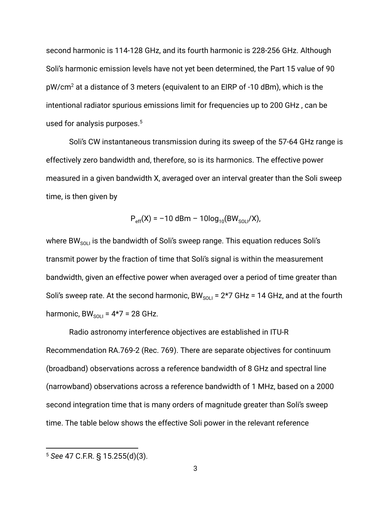second harmonic is 114-128 GHz, and its fourth harmonic is 228-256 GHz. Although Soli's harmonic emission levels have not yet been determined, the Part 15 value of 90  $pW/cm<sup>2</sup>$  at a distance of 3 meters (equivalent to an EIRP of -10 dBm), which is the intentional radiator spurious emissions limit for frequencies up to 200 GHz , can be used for analysis purposes.<sup>5</sup>

Soli's CW instantaneous transmission during its sweep of the 57-64 GHz range is effectively zero bandwidth and, therefore, so is its harmonics. The effective power measured in a given bandwidth X, averaged over an interval greater than the Soli sweep time, is then given by

$$
P_{\text{eff}}(X) = -10 \text{ dBm} - 10\log_{10}(BW_{\text{SOLI}}/X),
$$

where BW $_{\text{SOL}}$  is the bandwidth of Soli's sweep range. This equation reduces Soli's transmit power by the fraction of time that Soli's signal is within the measurement bandwidth, given an effective power when averaged over a period of time greater than Soli's sweep rate. At the second harmonic, BW $_{\text{SOLI}}$  = 2\*7 GHz = 14 GHz, and at the fourth harmonic,  $BW_{\text{SOL}} = 4*7 = 28 \text{ GHz}.$ 

Radio astronomy interference objectives are established in ITU-R Recommendation RA.769-2 (Rec. 769). There are separate objectives for continuum (broadband) observations across a reference bandwidth of 8 GHz and spectral line (narrowband) observations across a reference bandwidth of 1 MHz, based on a 2000 second integration time that is many orders of magnitude greater than Soli's sweep time. The table below shows the effective Soli power in the relevant reference

<sup>5</sup> *See* 47 C.F.R. § 15.255(d)(3).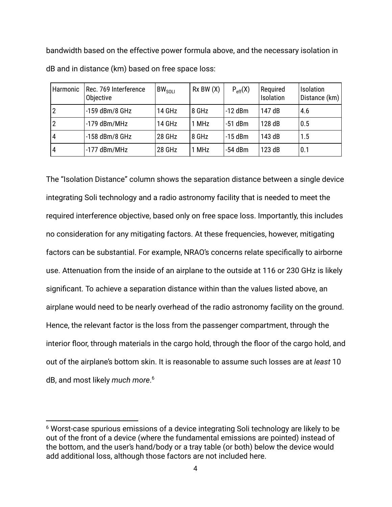bandwidth based on the effective power formula above, and the necessary isolation in dB and in distance (km) based on free space loss:

| Harmonic | Rec. 769 Interference<br>Objective | $BW_{SOLI}$ | $Rx$ BW $(X)$ | $P_{eff}(X)$ | Required<br>Isolation | <b>Isolation</b><br>Distance (km) |
|----------|------------------------------------|-------------|---------------|--------------|-----------------------|-----------------------------------|
|          | -159 dBm/8 GHz                     | 14 GHz      | 8 GHz         | $-12$ dBm    | 147 dB                | 4.6                               |
|          | $-179$ dBm/MHz                     | 14 GHz      | 1 MHz         | $-51$ dBm    | 128 dB                | 0.5                               |
| 4        | $-158$ dBm/8 GHz                   | 28 GHz      | 8 GHz         | $-15$ dBm    | 143 dB                | 1.5                               |
| 4        | $-177$ dBm/MHz                     | 28 GHz      | 1 MHz         | $-54$ dBm    | 123 dB                | 0.1                               |

The "Isolation Distance" column shows the separation distance between a single device integrating Soli technology and a radio astronomy facility that is needed to meet the required interference objective, based only on free space loss. Importantly, this includes no consideration for any mitigating factors. At these frequencies, however, mitigating factors can be substantial. For example, NRAO's concerns relate specifically to airborne use. Attenuation from the inside of an airplane to the outside at 116 or 230 GHz is likely significant. To achieve a separation distance within than the values listed above, an airplane would need to be nearly overhead of the radio astronomy facility on the ground. Hence, the relevant factor is the loss from the passenger compartment, through the interior floor, through materials in the cargo hold, through the floor of the cargo hold, and out of the airplane's bottom skin. It is reasonable to assume such losses are at *least* 10 dB, and most likely *much more* . 6

<sup>6</sup> Worst-case spurious emissions of a device integrating Soli technology are likely to be out of the front of a device (where the fundamental emissions are pointed) instead of the bottom, and the user's hand/body or a tray table (or both) below the device would add additional loss, although those factors are not included here.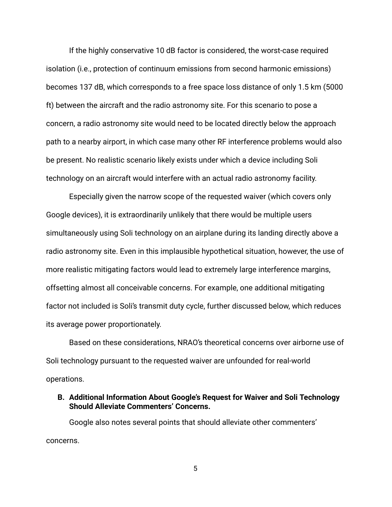If the highly conservative 10 dB factor is considered, the worst-case required isolation (i.e., protection of continuum emissions from second harmonic emissions) becomes 137 dB, which corresponds to a free space loss distance of only 1.5 km (5000 ft) between the aircraft and the radio astronomy site. For this scenario to pose a concern, a radio astronomy site would need to be located directly below the approach path to a nearby airport, in which case many other RF interference problems would also be present. No realistic scenario likely exists under which a device including Soli technology on an aircraft would interfere with an actual radio astronomy facility.

Especially given the narrow scope of the requested waiver (which covers only Google devices), it is extraordinarily unlikely that there would be multiple users simultaneously using Soli technology on an airplane during its landing directly above a radio astronomy site. Even in this implausible hypothetical situation, however, the use of more realistic mitigating factors would lead to extremely large interference margins, offsetting almost all conceivable concerns. For example, one additional mitigating factor not included is Soli's transmit duty cycle, further discussed below, which reduces its average power proportionately.

Based on these considerations, NRAO's theoretical concerns over airborne use of Soli technology pursuant to the requested waiver are unfounded for real-world operations.

### **B. Additional Information About Google's Request for Waiver and Soli Technology Should Alleviate Commenters' Concerns.**

Google also notes several points that should alleviate other commenters' concerns.

5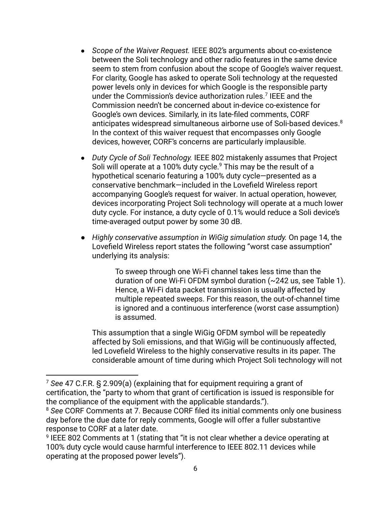- *Scope of the Waiver Request.* IEEE 802's arguments about co-existence between the Soli technology and other radio features in the same device seem to stem from confusion about the scope of Google's waiver request. For clarity, Google has asked to operate Soli technology at the requested power levels only in devices for which Google is the responsible party under the Commission's device authorization rules.<sup>7</sup> IEEE and the Commission needn't be concerned about in-device co-existence for Google's own devices. Similarly, in its late-filed comments, CORF anticipates widespread simultaneous airborne use of Soli-based devices.<sup>8</sup> In the context of this waiver request that encompasses only Google devices, however, CORF's concerns are particularly implausible.
- *Duty Cycle of Soli Technology.* IEEE 802 mistakenly assumes that Project Soli will operate at a 100% duty cycle.<sup>9</sup> This may be the result of a hypothetical scenario featuring a 100% duty cycle—presented as a conservative benchmark—included in the Lovefield Wireless report accompanying Google's request for waiver . In actual operation, however, devices incorporating Project Soli technology will operate at a much lower duty cycle. For instance, a duty cycle of 0.1% would reduce a Soli device's time-averaged output power by some 30 dB.
- *Highly conservative assumption in WiGig simulation study.* On page 14, the Lovefield Wireless report states the following "worst case assumption" underlying its analysis:

To sweep through one Wi-Fi channel takes less time than the duration of one Wi-Fi OFDM symbol duration (~242 us, see Table 1). Hence, a Wi-Fi data packet transmission is usually affected by multiple repeated sweeps. For this reason, the out-of-channel time is ignored and a continuous interference (worst case assumption) is assumed.

This assumption that a single WiGig OFDM symbol will be repeatedly affected by Soli emissions, and that WiGig will be continuously affected, led Lovefield Wireless to the highly conservative results in its paper. The considerable amount of time during which Project Soli technology will not

<sup>7</sup> *See* 47 C.F.R. § 2.909(a) (explaining that for equipment requiring a grant of certification, the "party to whom that grant of certification is issued is responsible for the compliance of the equipment with the applicable standards.").

<sup>8</sup> *See* CORF Comments at 7. Because CORF filed its initial comments only one business day before the due date for reply comments, Google will offer a fuller substantive response to CORF at a later date.

<sup>9</sup> IEEE 802 Comments at 1 (stating that "it is not clear whether a device operating at 100% duty cycle would cause harmful interference to IEEE 802.11 devices while operating at the proposed power levels").